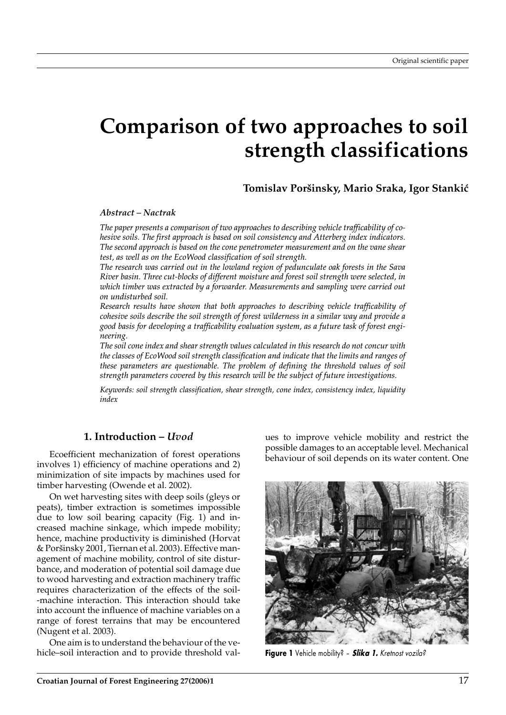# **Comparison of two approaches to soil strength classifications**

**Tomislav Por{insky, Mario Sraka, Igor Stanki}**

### *Abstract – Nactrak*

*The paper presents a comparison of two approaches to describing vehicle trafficability of cohesive soils. The first approach is based on soil consistency and Atterberg index indicators. The second approach is based on the cone penetrometer measurement and on the vane shear test, as well as on the EcoWood classification of soil strength.*

*The research was carried out in the lowland region of pedunculate oak forests in the Sava River basin. Three cut-blocks of different moisture and forest soil strength were selected, in which timber was extracted by a forwarder. Measurements and sampling were carried out on undisturbed soil.*

*Research results have shown that both approaches to describing vehicle trafficability of cohesive soils describe the soil strength of forest wilderness in a similar way and provide a good basis for developing a trafficability evaluation system, as a future task of forest engineering.*

*The soil cone index and shear strength values calculated in this research do not concur with the classes of EcoWood soil strength classification and indicate that the limits and ranges of these parameters are questionable. The problem of defining the threshold values of soil strength parameters covered by this research will be the subject of future investigations.*

*Keywords: soil strength classification, shear strength, cone index, consistency index, liquidity index*

## **1. Introduction –** *Uvod*

Ecoefficient mechanization of forest operations involves 1) efficiency of machine operations and 2) minimization of site impacts by machines used for timber harvesting (Owende et al. 2002).

On wet harvesting sites with deep soils (gleys or peats), timber extraction is sometimes impossible due to low soil bearing capacity (Fig. 1) and increased machine sinkage, which impede mobility; hence, machine productivity is diminished (Horvat & Poršinsky 2001, Tiernan et al. 2003). Effective management of machine mobility, control of site disturbance, and moderation of potential soil damage due to wood harvesting and extraction machinery traffic requires characterization of the effects of the soil- -machine interaction. This interaction should take into account the influence of machine variables on a range of forest terrains that may be encountered (Nugent et al. 2003).

One aim is to understand the behaviour of the vehicle–soil interaction and to provide threshold values to improve vehicle mobility and restrict the possible damages to an acceptable level. Mechanical behaviour of soil depends on its water content. One



**Figure 1** Vehicle mobility? – *Slika 1. Kretnost vozila?*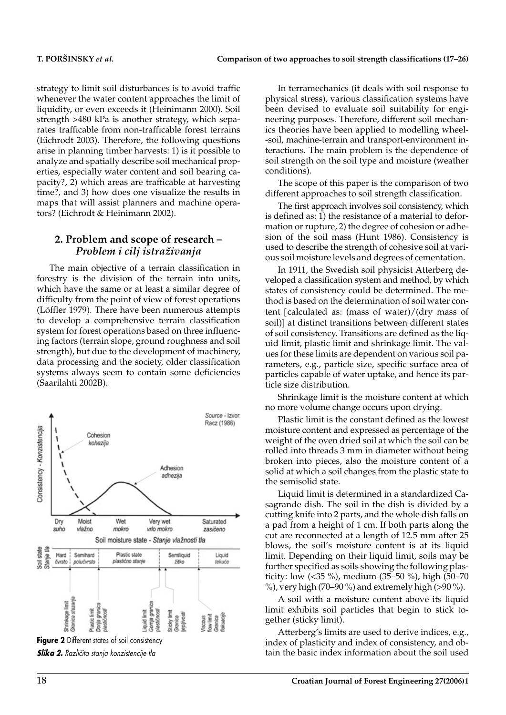strategy to limit soil disturbances is to avoid traffic whenever the water content approaches the limit of liquidity, or even exceeds it (Heinimann 2000). Soil strength >480 kPa is another strategy, which separates trafficable from non-trafficable forest terrains (Eichrodt 2003). Therefore, the following questions arise in planning timber harvests: 1) is it possible to analyze and spatially describe soil mechanical properties, especially water content and soil bearing capacity?, 2) which areas are trafficable at harvesting time?, and 3) how does one visualize the results in maps that will assist planners and machine operators? (Eichrodt & Heinimann 2002).

### **2. Problem and scope of research –** *Problem i cilj istra`ivanja*

The main objective of a terrain classification in forestry is the division of the terrain into units, which have the same or at least a similar degree of difficulty from the point of view of forest operations (Löffler 1979). There have been numerous attempts to develop a comprehensive terrain classification system for forest operations based on three influencing factors (terrain slope, ground roughness and soil strength), but due to the development of machinery, data processing and the society, older classification systems always seem to contain some deficiencies (Saarilahti 2002B).



**Slika 2.** Različita stanja konzistencije tla

In terramechanics (it deals with soil response to physical stress), various classification systems have been devised to evaluate soil suitability for engineering purposes. Therefore, different soil mechanics theories have been applied to modelling wheel- -soil, machine-terrain and transport-environment interactions. The main problem is the dependence of soil strength on the soil type and moisture (weather conditions).

The scope of this paper is the comparison of two different approaches to soil strength classification.

The first approach involves soil consistency, which is defined as: 1) the resistance of a material to deformation or rupture, 2) the degree of cohesion or adhesion of the soil mass (Hunt 1986). Consistency is used to describe the strength of cohesive soil at various soil moisture levels and degrees of cementation.

In 1911, the Swedish soil physicist Atterberg developed a classification system and method, by which states of consistency could be determined. The method is based on the determination of soil water content [calculated as: (mass of water)/(dry mass of soil)] at distinct transitions between different states of soil consistency. Transitions are defined as the liquid limit, plastic limit and shrinkage limit. The values for these limits are dependent on various soil parameters, e.g., particle size, specific surface area of particles capable of water uptake, and hence its particle size distribution.

Shrinkage limit is the moisture content at which no more volume change occurs upon drying.

Plastic limit is the constant defined as the lowest moisture content and expressed as percentage of the weight of the oven dried soil at which the soil can be rolled into threads 3 mm in diameter without being broken into pieces, also the moisture content of a solid at which a soil changes from the plastic state to the semisolid state.

Liquid limit is determined in a standardized Casagrande dish. The soil in the dish is divided by a cutting knife into 2 parts, and the whole dish falls on a pad from a height of 1 cm. If both parts along the cut are reconnected at a length of 12.5 mm after 25 blows, the soil's moisture content is at its liquid limit. Depending on their liquid limit, soils may be further specified as soils showing the following plasticity: low (<35 %), medium (35–50 %), high (50–70 %), very high (70–90 %) and extremely high (>90 %).

A soil with a moisture content above its liquid limit exhibits soil particles that begin to stick together (sticky limit).

Atterberg's limits are used to derive indices, e.g., index of plasticity and index of consistency, and obtain the basic index information about the soil used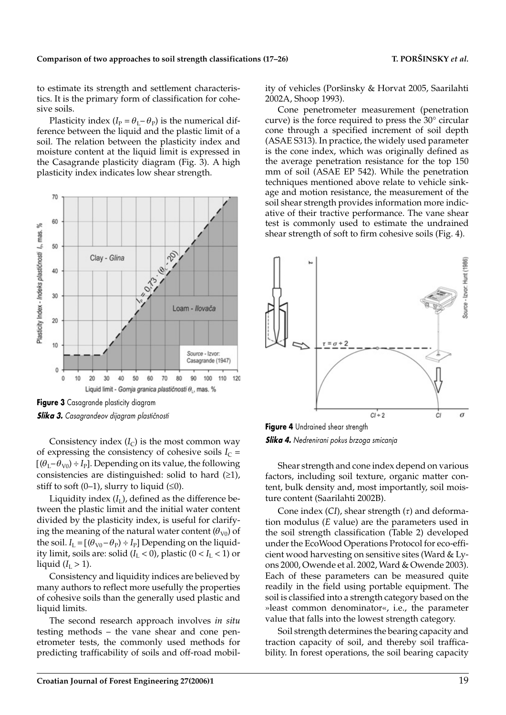to estimate its strength and settlement characteristics. It is the primary form of classification for cohesive soils.

Plasticity index ( $I_P = \theta_I - \theta_P$ ) is the numerical difference between the liquid and the plastic limit of a soil. The relation between the plasticity index and moisture content at the liquid limit is expressed in the Casagrande plasticity diagram (Fig. 3). A high plasticity index indicates low shear strength.



*Slika 3. Casagrandeov dijagram plasti~nosti*

Consistency index  $(I_C)$  is the most common way of expressing the consistency of cohesive soils  $I_{C}$  =  $[(\theta_I - \theta_{V0}) \div I_P]$ . Depending on its value, the following consistencies are distinguished: solid to hard  $(≥1)$ , stiff to soft  $(0-1)$ , slurry to liquid  $(≤0)$ .

Liquidity index  $(I<sub>I</sub>)$ , defined as the difference between the plastic limit and the initial water content divided by the plasticity index, is useful for clarifying the meaning of the natural water content  $(\theta_{V0})$  of the soil.  $I_L = [(\theta_{V0} - \theta_P) \div I_P]$  Depending on the liquidity limit, soils are: solid  $(I_L < 0)$ , plastic  $(0 < I_L < 1)$  or liquid  $(I_{\rm L} > 1)$ .

Consistency and liquidity indices are believed by many authors to reflect more usefully the properties of cohesive soils than the generally used plastic and liquid limits.

The second research approach involves *in situ* testing methods – the vane shear and cone penetrometer tests, the commonly used methods for predicting trafficability of soils and off-road mobility of vehicles (Poršinsky & Horvat 2005, Saarilahti 2002A, Shoop 1993).

Cone penetrometer measurement (penetration curve) is the force required to press the 30° circular cone through a specified increment of soil depth (ASAE S313). In practice, the widely used parameter is the cone index, which was originally defined as the average penetration resistance for the top 150 mm of soil (ASAE EP 542). While the penetration techniques mentioned above relate to vehicle sinkage and motion resistance, the measurement of the soil shear strength provides information more indicative of their tractive performance. The vane shear test is commonly used to estimate the undrained shear strength of soft to firm cohesive soils (Fig. 4).



*Slika 4. Nedrenirani pokus brzoga smicanja*

Shear strength and cone index depend on various factors, including soil texture, organic matter content, bulk density and, most importantly, soil moisture content (Saarilahti 2002B).

Cone index (*CI*), shear strength (*t*) and deformation modulus (*E* value) are the parameters used in the soil strength classification (Table 2) developed under the EcoWood Operations Protocol for eco-efficient wood harvesting on sensitive sites (Ward & Lyons 2000, Owende et al. 2002, Ward & Owende 2003). Each of these parameters can be measured quite readily in the field using portable equipment. The soil is classified into a strength category based on the »least common denominator«, i.e., the parameter value that falls into the lowest strength category.

Soil strength determines the bearing capacity and traction capacity of soil, and thereby soil trafficability. In forest operations, the soil bearing capacity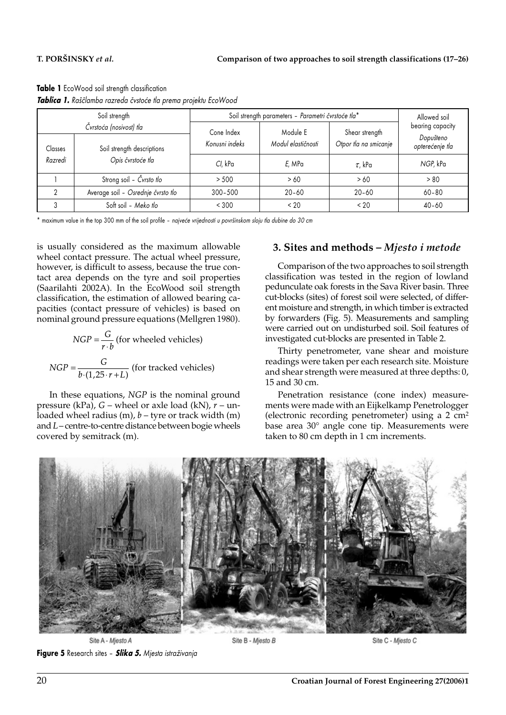| Table 1 EcoWood soil strength classification                    |
|-----------------------------------------------------------------|
| Tablica 1. Raščlamba razreda čvstoće tla prema projektu EcoWood |

| Soil strength                                                    |                                    | Soil strength parameters - Parametri čvrstoće tla* |                                |                                         | Allowed soil                                     |
|------------------------------------------------------------------|------------------------------------|----------------------------------------------------|--------------------------------|-----------------------------------------|--------------------------------------------------|
| Čvrstoća (nosivost) tla<br>Soil strength descriptions<br>Classes |                                    | Cone Index<br>Konusni indeks                       | Module E<br>Modul elastičnosti | Shear strength<br>Otpor tla na smicanje | bearing capacity<br>Dopušteno<br>opterećenje tla |
| Razredi                                                          | Opis čvrstoće tla                  | Cl. kPa                                            | E, MPa                         | $\tau$ , kPa                            | NGP, kPa                                         |
|                                                                  | Strong soil - Čvrsto tlo           | > 500                                              | >60                            | >60                                     | > 80                                             |
|                                                                  | Average soil - Osrednje čvrsto tlo | $300 - 500$                                        | $20 - 60$                      | $20 - 60$                               | $60 - 80$                                        |
|                                                                  | Soft soil - Meko tlo               | < 300                                              | < 20                           | < 20                                    | $40 - 60$                                        |

\* maximum value in the top 300 mm of the soil profile - najveće vrijednosti u površinskom sloju tla dubine do 30 cm

is usually considered as the maximum allowable wheel contact pressure. The actual wheel pressure, however, is difficult to assess, because the true contact area depends on the tyre and soil properties (Saarilahti 2002A). In the EcoWood soil strength classification, the estimation of allowed bearing capacities (contact pressure of vehicles) is based on nominal ground pressure equations (Mellgren 1980).

$$
NGP = \frac{G}{r \cdot b}
$$
 (for wheeled vehicles)  

$$
NGP = \frac{G}{b \cdot (1,25 \cdot r + L)}
$$
 (for tracked vehicles)

In these equations, *NGP* is the nominal ground pressure (kPa), *G* – wheel or axle load (kN), *r* – unloaded wheel radius  $(m)$ ,  $b -$  tyre or track width  $(m)$ and *L*– centre-to-centre distance between bogie wheels covered by semitrack (m).

# **3. Sites and methods –** *Mjesto i metode*

Comparison of the two approaches to soil strength classification was tested in the region of lowland pedunculate oak forests in the Sava River basin. Three cut-blocks (sites) of forest soil were selected, of different moisture and strength, in which timber is extracted by forwarders (Fig. 5). Measurements and sampling were carried out on undisturbed soil. Soil features of investigated cut-blocks are presented in Table 2.

Thirty penetrometer, vane shear and moisture readings were taken per each research site. Moisture and shear strength were measured at three depths: 0, 15 and 30 cm.

Penetration resistance (cone index) measurements were made with an Eijkelkamp Penetrologger (electronic recording penetrometer) using a 2 cm2 base area 30° angle cone tip. Measurements were taken to 80 cm depth in 1 cm increments.



Site A - Mjesto A **Figure 5** Research sites – *Slika 5. Mjesta istra`ivanja*

Site B - Mjesto B

Site C - Mjesto C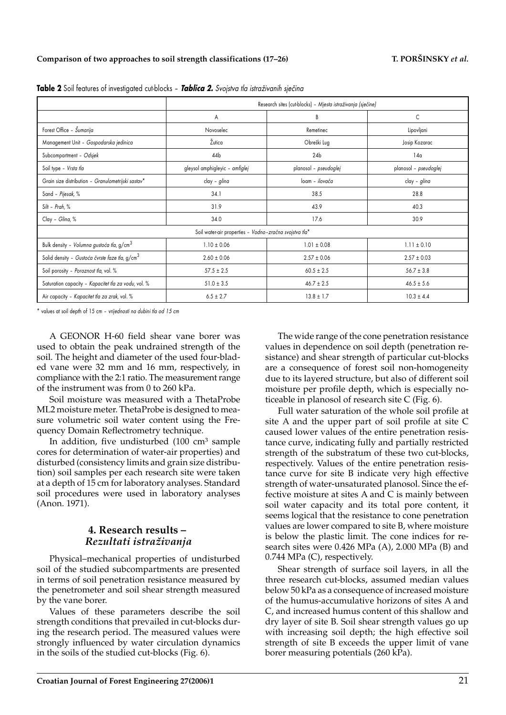### Comparison of two approaches to soil strength classifications (17–26) T. PORŠINSKY *et al.*

|                                                            | Research sites (cut-blocks) - Mjesta istraživanja (sječine) |                       |                       |  |  |  |  |
|------------------------------------------------------------|-------------------------------------------------------------|-----------------------|-----------------------|--|--|--|--|
|                                                            | A                                                           | B                     | C                     |  |  |  |  |
| Forest Office - Sumarija                                   | Novoselec                                                   | Remetinec             | Lipovljani            |  |  |  |  |
| Management Unit - Gospodarska jedinica                     | Žutica                                                      | Obreški Lug           | Josip Kozarac         |  |  |  |  |
| Subcompartment - Odsjek                                    | 44b                                                         | 24 <sub>b</sub>       | 14a                   |  |  |  |  |
| Soil type - Vrsta tla                                      | gleysol amphigleyic - amfiglej                              | planosol - pseudoglej | planosol - pseudoglej |  |  |  |  |
| Grain size distribution - Granulometrijski sastav*         | clay - glina                                                | loam - ilovača        | clay - glina          |  |  |  |  |
| Sand - Pijesak, %                                          | 34.1                                                        | 38.5                  | 28.8                  |  |  |  |  |
| Silt - Prah, %                                             | 31.9                                                        | 43.9                  | 40.3                  |  |  |  |  |
| Clay - Glina, %                                            | 34.0                                                        | 17.6                  | 30.9                  |  |  |  |  |
| Soil water-air properties - Vodno-zračna svojstva tla*     |                                                             |                       |                       |  |  |  |  |
| Bulk density - Volumna gustoća tla, g/cm <sup>3</sup>      | $1.10 \pm 0.06$                                             | $1.01 \pm 0.08$       | $1.11 \pm 0.10$       |  |  |  |  |
| Solid density - Gustoća čvrste faze tla, g/cm <sup>3</sup> | $2.60 \pm 0.06$                                             | $2.57 \pm 0.06$       | $2.57 \pm 0.03$       |  |  |  |  |
| Soil porosity - Poroznost tla, vol. %                      | $57.5 \pm 2.5$                                              | $60.5 \pm 2.5$        | $56.7 \pm 3.8$        |  |  |  |  |
| Saturation capacity - Kapacitet tla za vodu, vol. %        | $51.0 \pm 3.5$                                              | $46.7 \pm 2.5$        | $46.5 \pm 5.6$        |  |  |  |  |
| Air capacity - Kapacitet tla za zrak, vol. %               | $6.5 \pm 2.7$                                               | $13.8 \pm 1.7$        | $10.3 \pm 4.4$        |  |  |  |  |

Table 2 Soil features of investigated cut-blocks - Tablica 2. Svojstva tla istraživanih sječina

\* values at soil depth of 15 cm – *vrijednosti na dubini tla od 15 cm*

A GEONOR H-60 field shear vane borer was used to obtain the peak undrained strength of the soil. The height and diameter of the used four-bladed vane were 32 mm and 16 mm, respectively, in compliance with the 2:1 ratio. The measurement range of the instrument was from 0 to 260 kPa.

Soil moisture was measured with a ThetaProbe ML2 moisture meter. ThetaProbe is designed to measure volumetric soil water content using the Frequency Domain Reflectrometry technique.

In addition, five undisturbed  $(100 \text{ cm}^3 \text{ sample}$ cores for determination of water-air properties) and disturbed (consistency limits and grain size distribution) soil samples per each research site were taken at a depth of 15 cm for laboratory analyses. Standard soil procedures were used in laboratory analyses (Anon. 1971).

### **4. Research results –** *Rezultati istra`ivanja*

Physical–mechanical properties of undisturbed soil of the studied subcompartments are presented in terms of soil penetration resistance measured by the penetrometer and soil shear strength measured by the vane borer.

Values of these parameters describe the soil strength conditions that prevailed in cut-blocks during the research period. The measured values were strongly influenced by water circulation dynamics in the soils of the studied cut-blocks (Fig. 6).

The wide range of the cone penetration resistance values in dependence on soil depth (penetration resistance) and shear strength of particular cut-blocks are a consequence of forest soil non-homogeneity due to its layered structure, but also of different soil moisture per profile depth, which is especially noticeable in planosol of research site C (Fig. 6).

Full water saturation of the whole soil profile at site A and the upper part of soil profile at site C caused lower values of the entire penetration resistance curve, indicating fully and partially restricted strength of the substratum of these two cut-blocks, respectively. Values of the entire penetration resistance curve for site B indicate very high effective strength of water-unsaturated planosol. Since the effective moisture at sites A and C is mainly between soil water capacity and its total pore content, it seems logical that the resistance to cone penetration values are lower compared to site B, where moisture is below the plastic limit. The cone indices for research sites were 0.426 MPa (A), 2.000 MPa (B) and 0.744 MPa (C), respectively.

Shear strength of surface soil layers, in all the three research cut-blocks, assumed median values below 50 kPa as a consequence of increased moisture of the humus-accumulative horizons of sites A and C, and increased humus content of this shallow and dry layer of site B. Soil shear strength values go up with increasing soil depth; the high effective soil strength of site B exceeds the upper limit of vane borer measuring potentials (260 kPa).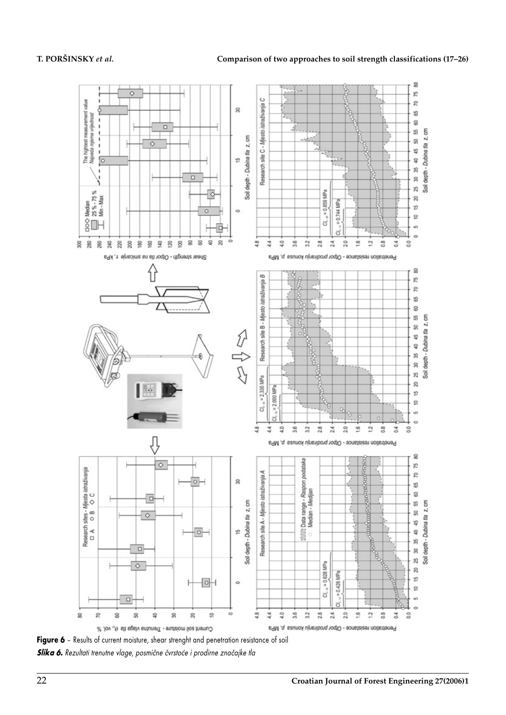

**Slika 6.** Rezultati trenutne vlage, posmične čvrstoće i prodirne značajke tla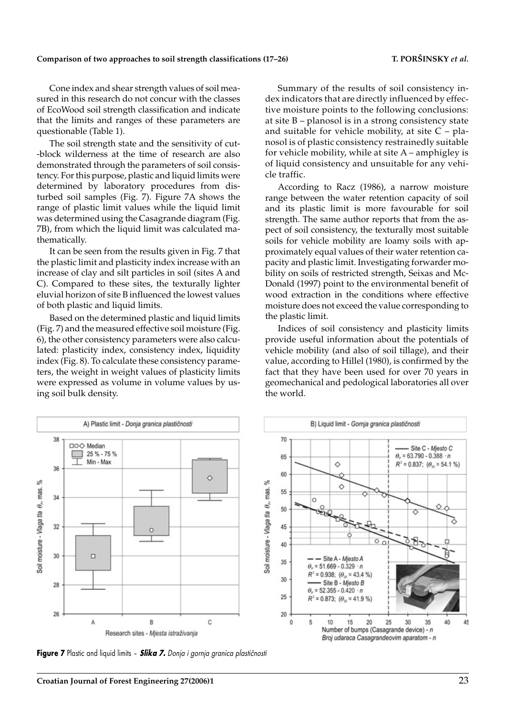### Comparison of two approaches to soil strength classifications (17–26) T. PORŠINSKY *et al.*

Cone index and shear strength values of soil measured in this research do not concur with the classes of EcoWood soil strength classification and indicate that the limits and ranges of these parameters are questionable (Table 1).

The soil strength state and the sensitivity of cut- -block wilderness at the time of research are also demonstrated through the parameters of soil consistency. For this purpose, plastic and liquid limits were determined by laboratory procedures from disturbed soil samples (Fig. 7). Figure 7A shows the range of plastic limit values while the liquid limit was determined using the Casagrande diagram (Fig. 7B), from which the liquid limit was calculated mathematically.

It can be seen from the results given in Fig. 7 that the plastic limit and plasticity index increase with an increase of clay and silt particles in soil (sites A and C). Compared to these sites, the texturally lighter eluvial horizon of site B influenced the lowest values of both plastic and liquid limits.

Based on the determined plastic and liquid limits (Fig. 7) and the measured effective soil moisture (Fig. 6), the other consistency parameters were also calculated: plasticity index, consistency index, liquidity index (Fig. 8). To calculate these consistency parameters, the weight in weight values of plasticity limits were expressed as volume in volume values by using soil bulk density.

Summary of the results of soil consistency index indicators that are directly influenced by effective moisture points to the following conclusions: at site B – planosol is in a strong consistency state and suitable for vehicle mobility, at site  $C$  – planosol is of plastic consistency restrainedly suitable for vehicle mobility, while at site A – amphigley is of liquid consistency and unsuitable for any vehicle traffic.

According to Racz (1986), a narrow moisture range between the water retention capacity of soil and its plastic limit is more favourable for soil strength. The same author reports that from the aspect of soil consistency, the texturally most suitable soils for vehicle mobility are loamy soils with approximately equal values of their water retention capacity and plastic limit. Investigating forwarder mobility on soils of restricted strength, Seixas and Mc-Donald (1997) point to the environmental benefit of wood extraction in the conditions where effective moisture does not exceed the value corresponding to the plastic limit.

Indices of soil consistency and plasticity limits provide useful information about the potentials of vehicle mobility (and also of soil tillage), and their value, according to Hillel (1980), is confirmed by the fact that they have been used for over 70 years in geomechanical and pedological laboratories all over the world.



**Figure 7** Plastic and liquid limits - **Slika 7.** Donja i gornja granica plastičnosti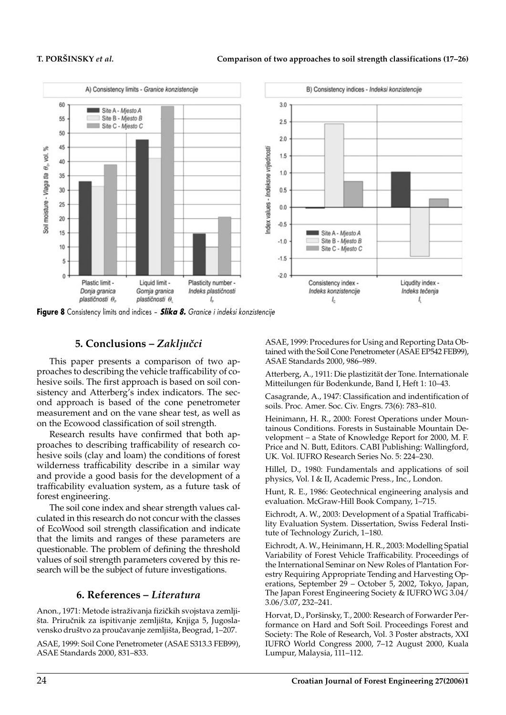

**Figure 8** Consistency limits and indices – *Slika 8. Granice i indeksi konzistencije*

# **5. Conclusions – Zaključci**

This paper presents a comparison of two approaches to describing the vehicle trafficability of cohesive soils. The first approach is based on soil consistency and Atterberg's index indicators. The second approach is based of the cone penetrometer measurement and on the vane shear test, as well as on the Ecowood classification of soil strength.

Research results have confirmed that both approaches to describing trafficability of research cohesive soils (clay and loam) the conditions of forest wilderness trafficability describe in a similar way and provide a good basis for the development of a trafficability evaluation system, as a future task of forest engineering.

The soil cone index and shear strength values calculated in this research do not concur with the classes of EcoWood soil strength classification and indicate that the limits and ranges of these parameters are questionable. The problem of defining the threshold values of soil strength parameters covered by this research will be the subject of future investigations.

### **6. References –** *Literatura*

Anon., 1971: Metode istraživanja fizičkih svojstava zemljišta. Priručnik za ispitivanje zemljišta, Knjiga 5, Jugoslavensko društvo za proučavanje zemljišta, Beograd, 1–207.

ASAE, 1999: Soil Cone Penetrometer (ASAE S313.3 FEB99), ASAE Standards 2000, 831–833.

ASAE, 1999: Procedures for Using and Reporting Data Obtained with the Soil Cone Penetrometer (ASAE EP542 FEB99), ASAE Standards 2000, 986–989.

Atterberg, A., 1911: Die plastizität der Tone. Internationale Mitteilungen für Bodenkunde, Band I, Heft 1: 10–43.

Casagrande, A., 1947: Classification and indentification of soils. Proc. Amer. Soc. Civ. Engrs. 73(6): 783–810.

Heinimann, H. R., 2000: Forest Operations under Mountainous Conditions. Forests in Sustainable Mountain Development – a State of Knowledge Report for 2000, M. F. Price and N. Butt, Editors. CABI Publishing: Wallingford, UK. Vol. IUFRO Research Series No. 5: 224–230.

Hillel, D., 1980: Fundamentals and applications of soil physics, Vol. I & II, Academic Press., Inc., London.

Hunt, R. E., 1986: Geotechnical engineering analysis and evaluation. McGraw-Hill Book Company, 1–715.

Eichrodt, A. W., 2003: Development of a Spatial Trafficability Evaluation System. Dissertation, Swiss Federal Institute of Technology Zurich, 1–180.

Eichrodt, A. W., Heinimann, H. R., 2003: Modelling Spatial Variability of Forest Vehicle Trafficability. Proceedings of the International Seminar on New Roles of Plantation Forestry Requiring Appropriate Tending and Harvesting Operations, September 29 – October 5, 2002, Tokyo, Japan, The Japan Forest Engineering Society & IUFRO WG 3.04/ 3.06/3.07, 232–241.

Horvat, D., Poršinsky, T., 2000: Research of Forwarder Performance on Hard and Soft Soil. Proceedings Forest and Society: The Role of Research, Vol. 3 Poster abstracts, XXI IUFRO World Congress 2000, 7–12 August 2000, Kuala Lumpur, Malaysia, 111–112.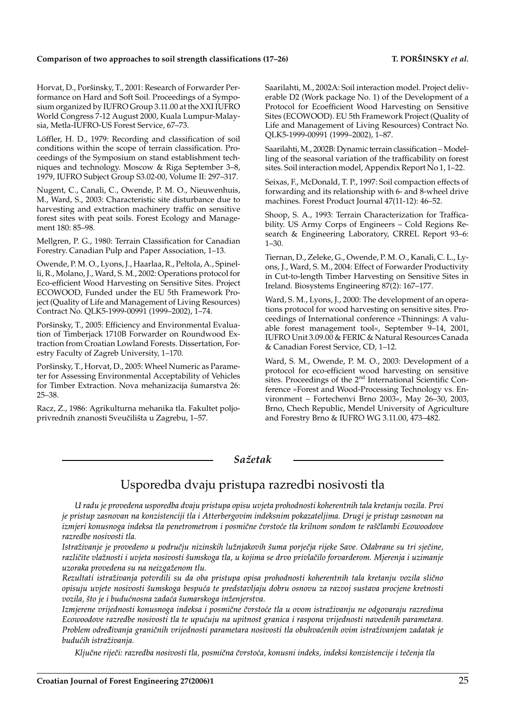### Comparison of two approaches to soil strength classifications (17–26) T. PORŠINSKY *et al.*

Horvat, D., Poršinsky, T., 2001: Research of Forwarder Performance on Hard and Soft Soil. Proceedings of a Symposium organized by IUFRO Group 3.11.00 at the XXI IUFRO World Congress 7-12 August 2000, Kuala Lumpur-Malaysia, Metla-IUFRO-US Forest Service, 67–73.

Löffler, H. D., 1979: Recording and classification of soil conditions within the scope of terrain classification. Proceedings of the Symposium on stand establishment techniques and technology. Moscow & Riga September 3–8, 1979, IUFRO Subject Group S3.02-00, Volume II: 297–317.

Nugent, C., Canali, C., Owende, P. M. O., Nieuwenhuis, M., Ward, S., 2003: Characteristic site disturbance due to harvesting and extraction machinery traffic on sensitive forest sites with peat soils. Forest Ecology and Management 180: 85–98.

Mellgren, P. G., 1980: Terrain Classification for Canadian Forestry. Canadian Pulp and Paper Association, 1–13.

Owende, P. M. O., Lyons, J., Haarlaa, R., Peltola, A., Spinelli, R., Molano, J., Ward, S. M., 2002: Operations protocol for Eco-efficient Wood Harvesting on Sensitive Sites. Project ECOWOOD, Funded under the EU 5th Framework Project (Quality of Life and Management of Living Resources) Contract No. QLK5-1999-00991 (1999–2002), 1–74.

Poršinsky, T., 2005: Efficiency and Environmental Evaluation of Timberjack 1710B Forwarder on Roundwood Extraction from Croatian Lowland Forests. Dissertation, Forestry Faculty of Zagreb University, 1–170.

Poršinsky, T., Horvat, D., 2005: Wheel Numeric as Parameter for Assessing Environmental Acceptability of Vehicles for Timber Extraction. Nova mehanizacija šumarstva 26: 25–38.

Racz, Z., 1986: Agrikulturna mehanika tla. Fakultet poljoprivrednih znanosti Sveučilišta u Zagrebu, 1–57.

Saarilahti, M., 2002A: Soil interaction model. Project deliverable D2 (Work package No. 1) of the Development of a Protocol for Ecoefficient Wood Harvesting on Sensitive Sites (ECOWOOD). EU 5th Framework Project (Quality of Life and Management of Living Resources) Contract No. QLK5-1999-00991 (1999–2002), 1–87.

Saarilahti, M., 2002B: Dynamic terrain classification – Modelling of the seasonal variation of the trafficability on forest sites. Soil interaction model, Appendix Report No 1, 1–22.

Seixas, F., McDonald, T. P., 1997: Soil compaction effects of forwarding and its relationship with 6- and 8-wheel drive machines. Forest Product Journal 47(11-12): 46–52.

Shoop, S. A., 1993: Terrain Characterization for Trafficability. US Army Corps of Engineers – Cold Regions Research & Engineering Laboratory, CRREL Report 93–6: 1–30.

Tiernan, D., Zeleke, G., Owende, P. M. O., Kanali, C. L., Lyons, J., Ward, S. M., 2004: Effect of Forwarder Productivity in Cut-to-length Timber Harvesting on Sensitive Sites in Ireland. Biosystems Engineering 87(2): 167–177.

Ward, S. M., Lyons, J., 2000: The development of an operations protocol for wood harvesting on sensitive sites. Proceedings of International conference »Thinnings: A valuable forest management tool«, September 9–14, 2001, IUFRO Unit 3.09.00 & FERIC & Natural Resources Canada & Canadian Forest Service, CD, 1–12.

Ward, S. M., Owende, P. M. O., 2003: Development of a protocol for eco-efficient wood harvesting on sensitive sites. Proceedings of the  $2<sup>nd</sup>$  International Scientific Conference »Forest and Wood-Processing Technology vs. Environment – Fortechenvi Brno 2003«, May 26–30, 2003, Brno, Chech Republic, Mendel University of Agriculture and Forestry Brno & IUFRO WG 3.11.00, 473–482.

### *Sa`etak*

# Usporedba dvaju pristupa razredbi nosivosti tla

*U radu je provedena usporedba dvaju pristupa opisu uvjeta prohodnosti koherentnih tala kretanju vozila. Prvi je pristup zasnovan na konzistenciji tla i Atterbergovim indeksnim pokazateljima. Drugi je pristup zasnovan na izmjeri konusnoga indeksa tla penetrometrom i posmične čvrstoće tla krilnom sondom te raščlambi Ecowoodove razredbe nosivosti tla.*

Istraživanje je provedeno u području nizinskih lužnjakovih šuma porječja rijeke Save. Odabrane su tri sječine, različite vlažnosti i uvjeta nosivosti šumskoga tla, u kojima se drvo privlačilo forvarderom. Mjerenja i uzimanje *uzoraka provedena su na neizga`enom tlu.*

*Rezultati istra`ivanja potvrdili su da oba pristupa opisa prohodnosti koherentnih tala kretanju vozila sli~no opisuju uvjete nosivosti {umskoga bespu}a te predstavljaju dobru osnovu za razvoj sustava procjene kretnosti*  $vozila$ , što je i budućnosna zadaća šumarskoga inženjerstva.

*Izmjerene vrijednosti konusnoga indeksa i posmične čvrstoće tla u ovom istraživanju ne odgovaraju razredima Ecowoodove razredbe nosivosti tla te upu}uju na upitnost granica i raspona vrijednosti navedenih parametara.* Problem određivanja graničnih vrijednosti parametara nosivosti tla obuhvaćenih ovim istraživanjem zadatak je *budu}ih istra`ivanja.*

*Klju~ne rije~i: razredba nosivosti tla, posmi~na ~vrsto}a, konusni indeks, indeksi konzistencije i te~enja tla*